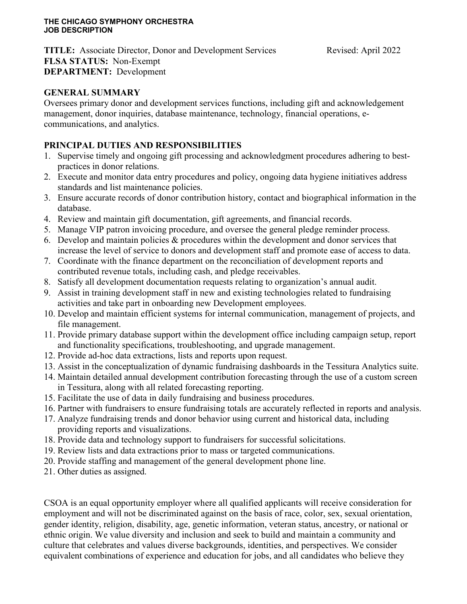**TITLE:** Associate Director, Donor and Development Services Revised: April 2022 **FLSA STATUS:** Non-Exempt **DEPARTMENT:** Development

### **GENERAL SUMMARY**

Oversees primary donor and development services functions, including gift and acknowledgement management, donor inquiries, database maintenance, technology, financial operations, ecommunications, and analytics.

### **PRINCIPAL DUTIES AND RESPONSIBILITIES**

- 1. Supervise timely and ongoing gift processing and acknowledgment procedures adhering to bestpractices in donor relations.
- 2. Execute and monitor data entry procedures and policy, ongoing data hygiene initiatives address standards and list maintenance policies.
- 3. Ensure accurate records of donor contribution history, contact and biographical information in the database.
- 4. Review and maintain gift documentation, gift agreements, and financial records.
- 5. Manage VIP patron invoicing procedure, and oversee the general pledge reminder process.
- 6. Develop and maintain policies & procedures within the development and donor services that increase the level of service to donors and development staff and promote ease of access to data.
- 7. Coordinate with the finance department on the reconciliation of development reports and contributed revenue totals, including cash, and pledge receivables.
- 8. Satisfy all development documentation requests relating to organization's annual audit.
- 9. Assist in training development staff in new and existing technologies related to fundraising activities and take part in onboarding new Development employees.
- 10. Develop and maintain efficient systems for internal communication, management of projects, and file management.
- 11. Provide primary database support within the development office including campaign setup, report and functionality specifications, troubleshooting, and upgrade management.
- 12. Provide ad-hoc data extractions, lists and reports upon request.
- 13. Assist in the conceptualization of dynamic fundraising dashboards in the Tessitura Analytics suite.
- 14. Maintain detailed annual development contribution forecasting through the use of a custom screen in Tessitura, along with all related forecasting reporting.
- 15. Facilitate the use of data in daily fundraising and business procedures.
- 16. Partner with fundraisers to ensure fundraising totals are accurately reflected in reports and analysis.
- 17. Analyze fundraising trends and donor behavior using current and historical data, including providing reports and visualizations.
- 18. Provide data and technology support to fundraisers for successful solicitations.
- 19. Review lists and data extractions prior to mass or targeted communications.
- 20. Provide staffing and management of the general development phone line.
- 21. Other duties as assigned.

CSOA is an equal opportunity employer where all qualified applicants will receive consideration for employment and will not be discriminated against on the basis of race, color, sex, sexual orientation, gender identity, religion, disability, age, genetic information, veteran status, ancestry, or national or ethnic origin. We value diversity and inclusion and seek to build and maintain a community and culture that celebrates and values diverse backgrounds, identities, and perspectives. We consider equivalent combinations of experience and education for jobs, and all candidates who believe they